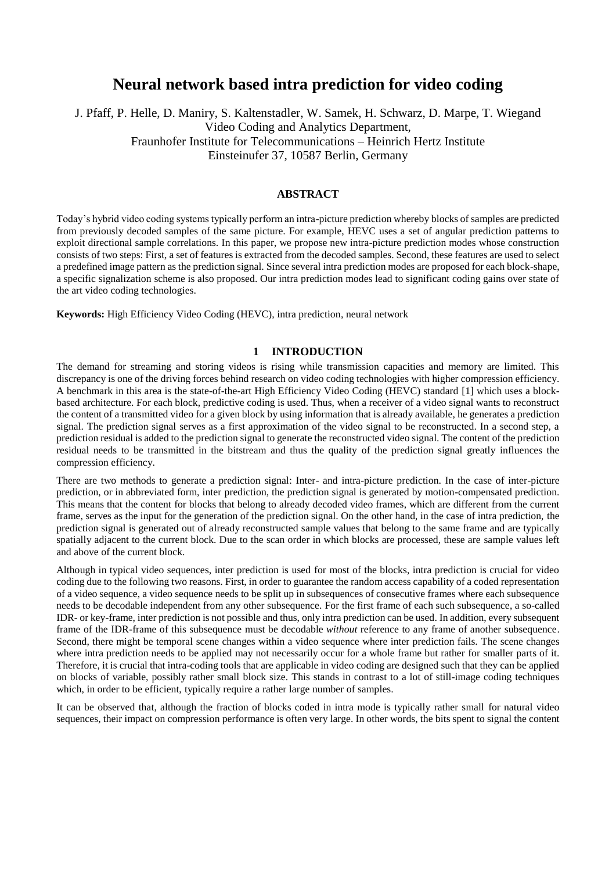# **Neural network based intra prediction for video coding**

J. Pfaff, P. Helle, D. Maniry, S. Kaltenstadler, W. Samek, H. Schwarz, D. Marpe, T. Wiegand Video Coding and Analytics Department, Fraunhofer Institute for Telecommunications – Heinrich Hertz Institute Einsteinufer 37, 10587 Berlin, Germany

### **ABSTRACT**

Today's hybrid video coding systems typically perform an intra-picture prediction whereby blocks of samples are predicted from previously decoded samples of the same picture. For example, HEVC uses a set of angular prediction patterns to exploit directional sample correlations. In this paper, we propose new intra-picture prediction modes whose construction consists of two steps: First, a set of features is extracted from the decoded samples. Second, these features are used to select a predefined image pattern as the prediction signal. Since several intra prediction modes are proposed for each block-shape, a specific signalization scheme is also proposed. Our intra prediction modes lead to significant coding gains over state of the art video coding technologies.

**Keywords:** High Efficiency Video Coding (HEVC), intra prediction, neural network

#### **1 INTRODUCTION**

The demand for streaming and storing videos is rising while transmission capacities and memory are limited. This discrepancy is one of the driving forces behind research on video coding technologies with higher compression efficiency. A benchmark in this area is the state-of-the-art High Efficiency Video Coding (HEVC) standard [1] which uses a blockbased architecture. For each block, predictive coding is used. Thus, when a receiver of a video signal wants to reconstruct the content of a transmitted video for a given block by using information that is already available, he generates a prediction signal. The prediction signal serves as a first approximation of the video signal to be reconstructed. In a second step, a prediction residual is added to the prediction signal to generate the reconstructed video signal. The content of the prediction residual needs to be transmitted in the bitstream and thus the quality of the prediction signal greatly influences the compression efficiency.

There are two methods to generate a prediction signal: Inter- and intra-picture prediction. In the case of inter-picture prediction, or in abbreviated form, inter prediction, the prediction signal is generated by motion-compensated prediction. This means that the content for blocks that belong to already decoded video frames, which are different from the current frame, serves as the input for the generation of the prediction signal. On the other hand, in the case of intra prediction, the prediction signal is generated out of already reconstructed sample values that belong to the same frame and are typically spatially adjacent to the current block. Due to the scan order in which blocks are processed, these are sample values left and above of the current block.

Although in typical video sequences, inter prediction is used for most of the blocks, intra prediction is crucial for video coding due to the following two reasons. First, in order to guarantee the random access capability of a coded representation of a video sequence, a video sequence needs to be split up in subsequences of consecutive frames where each subsequence needs to be decodable independent from any other subsequence. For the first frame of each such subsequence, a so-called IDR- or key-frame, inter prediction is not possible and thus, only intra prediction can be used. In addition, every subsequent frame of the IDR-frame of this subsequence must be decodable *without* reference to any frame of another subsequence. Second, there might be temporal scene changes within a video sequence where inter prediction fails. The scene changes where intra prediction needs to be applied may not necessarily occur for a whole frame but rather for smaller parts of it. Therefore, it is crucial that intra-coding tools that are applicable in video coding are designed such that they can be applied on blocks of variable, possibly rather small block size. This stands in contrast to a lot of still-image coding techniques which, in order to be efficient, typically require a rather large number of samples.

It can be observed that, although the fraction of blocks coded in intra mode is typically rather small for natural video sequences, their impact on compression performance is often very large. In other words, the bits spent to signal the content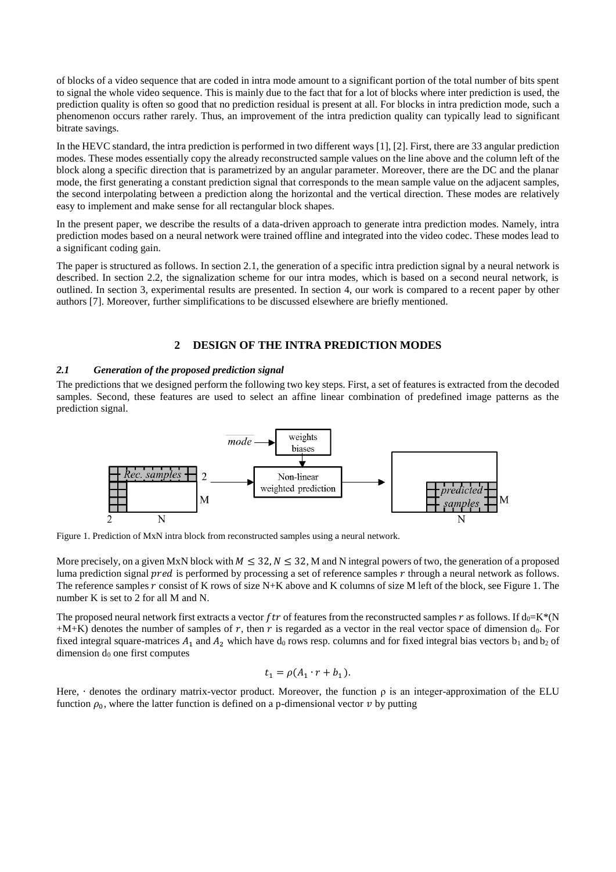of blocks of a video sequence that are coded in intra mode amount to a significant portion of the total number of bits spent to signal the whole video sequence. This is mainly due to the fact that for a lot of blocks where inter prediction is used, the prediction quality is often so good that no prediction residual is present at all. For blocks in intra prediction mode, such a phenomenon occurs rather rarely. Thus, an improvement of the intra prediction quality can typically lead to significant bitrate savings.

In the HEVC standard, the intra prediction is performed in two different ways [1], [2]. First, there are 33 angular prediction modes. These modes essentially copy the already reconstructed sample values on the line above and the column left of the block along a specific direction that is parametrized by an angular parameter. Moreover, there are the DC and the planar mode, the first generating a constant prediction signal that corresponds to the mean sample value on the adjacent samples, the second interpolating between a prediction along the horizontal and the vertical direction. These modes are relatively easy to implement and make sense for all rectangular block shapes.

In the present paper, we describe the results of a data-driven approach to generate intra prediction modes. Namely, intra prediction modes based on a neural network were trained offline and integrated into the video codec. These modes lead to a significant coding gain.

The paper is structured as follows. In section 2.1, the generation of a specific intra prediction signal by a neural network is described. In section 2.2, the signalization scheme for our intra modes, which is based on a second neural network, is outlined. In section 3, experimental results are presented. In section 4, our work is compared to a recent paper by other authors [7]. Moreover, further simplifications to be discussed elsewhere are briefly mentioned.

## **2 DESIGN OF THE INTRA PREDICTION MODES**

#### *2.1 Generation of the proposed prediction signal*

The predictions that we designed perform the following two key steps. First, a set of features is extracted from the decoded samples. Second, these features are used to select an affine linear combination of predefined image patterns as the prediction signal.



Figure 1. Prediction of MxN intra block from reconstructed samples using a neural network.

More precisely, on a given MxN block with  $M \leq 32$ ,  $N \leq 32$ , M and N integral powers of two, the generation of a proposed luma prediction signal  $pred$  is performed by processing a set of reference samples  $r$  through a neural network as follows. The reference samples  $r$  consist of K rows of size N+K above and K columns of size M left of the block, see Figure 1. The number K is set to 2 for all M and N.

The proposed neural network first extracts a vector  $ftr$  of features from the reconstructed samples  $r$  as follows. If d<sub>0</sub>=K\*(N  $+M+K$ ) denotes the number of samples of r, then r is regarded as a vector in the real vector space of dimension  $d_0$ . For fixed integral square-matrices  $A_1$  and  $A_2$  which have  $d_0$  rows resp. columns and for fixed integral bias vectors  $b_1$  and  $b_2$  of dimension  $d_0$  one first computes

$$
t_1 = \rho(A_1 \cdot r + b_1).
$$

Here,  $\cdot$  denotes the ordinary matrix-vector product. Moreover, the function  $\rho$  is an integer-approximation of the ELU function  $\rho_0$ , where the latter function is defined on a p-dimensional vector  $v$  by putting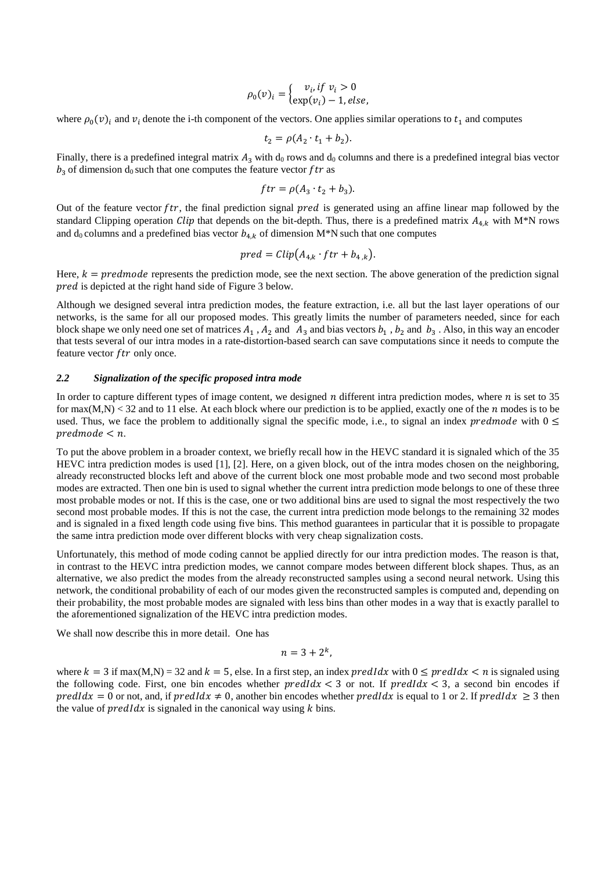$$
\rho_0(v)_i = \begin{cases} v_i, if \ v_i > 0 \\ \exp(v_i) - 1, else, \end{cases}
$$

where  $\rho_0(v)_i$  and  $v_i$  denote the i-th component of the vectors. One applies similar operations to  $t_1$  and computes

$$
t_2 = \rho(A_2 \cdot t_1 + b_2).
$$

Finally, there is a predefined integral matrix  $A_3$  with d<sub>0</sub> rows and d<sub>0</sub> columns and there is a predefined integral bias vector  $b_3$  of dimension  $d_0$  such that one computes the feature vector ftr as

$$
ftr = \rho(A_3 \cdot t_2 + b_3).
$$

Out of the feature vector  $ftr$ , the final prediction signal  $pred$  is generated using an affine linear map followed by the standard Clipping operation *Clip* that depends on the bit-depth. Thus, there is a predefined matrix  $A_{4,k}$  with M<sup>\*</sup>N rows and d<sub>0</sub> columns and a predefined bias vector  $b_{4,k}$  of dimension M\*N such that one computes

$$
pred = clip(A_{4,k} \cdot ftr + b_{4,k}).
$$

Here,  $k = predmode$  represents the prediction mode, see the next section. The above generation of the prediction signal pred is depicted at the right hand side of Figure 3 below.

Although we designed several intra prediction modes, the feature extraction, i.e. all but the last layer operations of our networks, is the same for all our proposed modes. This greatly limits the number of parameters needed, since for each block shape we only need one set of matrices  $A_1$ ,  $A_2$  and  $A_3$  and bias vectors  $b_1$ ,  $b_2$  and  $b_3$ . Also, in this way an encoder that tests several of our intra modes in a rate-distortion-based search can save computations since it needs to compute the feature vector  $ftr$  only once.

#### *2.2 Signalization of the specific proposed intra mode*

In order to capture different types of image content, we designed  $n$  different intra prediction modes, where  $n$  is set to 35 for  $max(M,N) < 32$  and to 11 else. At each block where our prediction is to be applied, exactly one of the *n* modes is to be used. Thus, we face the problem to additionally signal the specific mode, i.e., to signal an index *predmode* with  $0 \le$  $predmode < n$ .

To put the above problem in a broader context, we briefly recall how in the HEVC standard it is signaled which of the 35 HEVC intra prediction modes is used [1], [2]. Here, on a given block, out of the intra modes chosen on the neighboring, already reconstructed blocks left and above of the current block one most probable mode and two second most probable modes are extracted. Then one bin is used to signal whether the current intra prediction mode belongs to one of these three most probable modes or not. If this is the case, one or two additional bins are used to signal the most respectively the two second most probable modes. If this is not the case, the current intra prediction mode belongs to the remaining 32 modes and is signaled in a fixed length code using five bins. This method guarantees in particular that it is possible to propagate the same intra prediction mode over different blocks with very cheap signalization costs.

Unfortunately, this method of mode coding cannot be applied directly for our intra prediction modes. The reason is that, in contrast to the HEVC intra prediction modes, we cannot compare modes between different block shapes. Thus, as an alternative, we also predict the modes from the already reconstructed samples using a second neural network. Using this network, the conditional probability of each of our modes given the reconstructed samples is computed and, depending on their probability, the most probable modes are signaled with less bins than other modes in a way that is exactly parallel to the aforementioned signalization of the HEVC intra prediction modes.

We shall now describe this in more detail. One has

$$
n=3+2^k,
$$

where  $k = 3$  if max(M,N) = 32 and  $k = 5$ , else. In a first step, an index  $predldx$  with  $0 \leq predldx < n$  is signaled using the following code. First, one bin encodes whether  $predldx < 3$  or not. If  $predldx < 3$ , a second bin encodes if  $predIdx = 0$  or not, and, if  $predIdx \neq 0$ , another bin encodes whether  $predIdx$  is equal to 1 or 2. If  $predIdx \geq 3$  then the value of  $predIdx$  is signaled in the canonical way using  $k$  bins.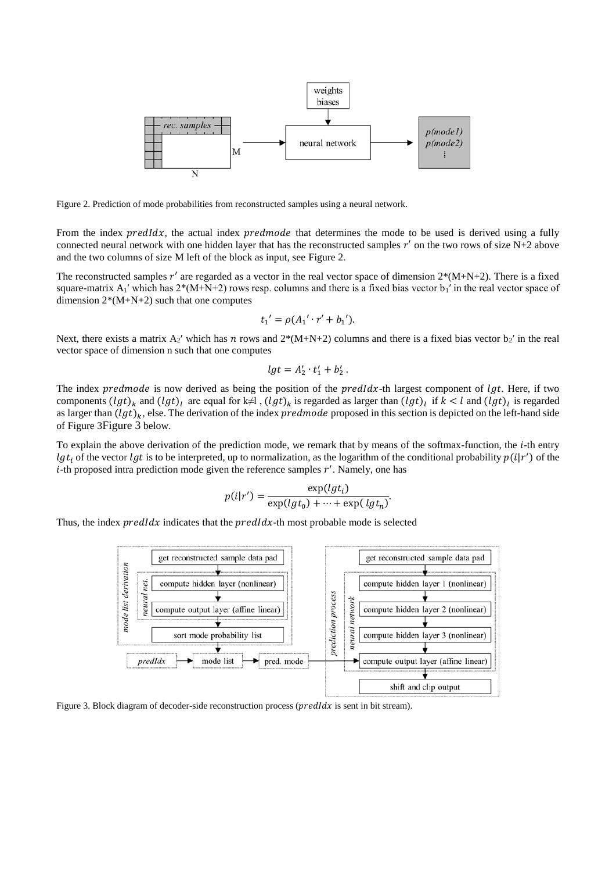

<span id="page-3-0"></span>Figure 2. Prediction of mode probabilities from reconstructed samples using a neural network.

From the index *predldx*, the actual index *predmode* that determines the mode to be used is derived using a fully connected neural network with one hidden layer that has the reconstructed samples  $r'$  on the two rows of size N+2 above and the two columns of size M left of the block as input, see [Figure 2.](#page-3-0)

The reconstructed samples  $r'$  are regarded as a vector in the real vector space of dimension  $2*(M+N+2)$ . There is a fixed square-matrix  $A_1'$  which has  $2*(M+N+2)$  rows resp. columns and there is a fixed bias vector b<sub>1</sub>′ in the real vector space of dimension  $2*(M+N+2)$  such that one computes

$$
t_1' = \rho(A_1' \cdot r' + b_1').
$$

Next, there exists a matrix  $A_2'$  which has *n* rows and  $2*(M+N+2)$  columns and there is a fixed bias vector  $b_2'$  in the real vector space of dimension n such that one computes

$$
lgt = A'_2 \cdot t'_1 + b'_2.
$$

The index predmode is now derived as being the position of the  $predldx$ -th largest component of  $lgt$ . Here, if two components  $(lgt)_k$  and  $(lgt)_l$  are equal for k $\neq$ l,  $(lgt)_k$  is regarded as larger than  $(lgt)_l$  if  $k < l$  and  $(lgt)_l$  is regarded as larger than  $(lgt)_k$ , else. The derivation of the index *predmode* proposed in this section is depicted on the left-hand side of [Figure 3](#page-3-1)[Figure 3](#page-3-1) below.

To explain the above derivation of the prediction mode, we remark that by means of the softmax-function, the  $i$ -th entry lgt<sub>i</sub> of the vector lgt is to be interpreted, up to normalization, as the logarithm of the conditional probability  $p(i|r')$  of the  $i$ -th proposed intra prediction mode given the reference samples  $r'$ . Namely, one has

$$
p(i|r') = \frac{\exp(lg t_i)}{\exp(lg t_0) + \dots + \exp(lg t_n)}
$$

Thus, the index  $predIdx$  indicates that the  $predIdx$ -th most probable mode is selected



<span id="page-3-1"></span>Figure 3. Block diagram of decoder-side reconstruction process ( $predldx$  is sent in bit stream).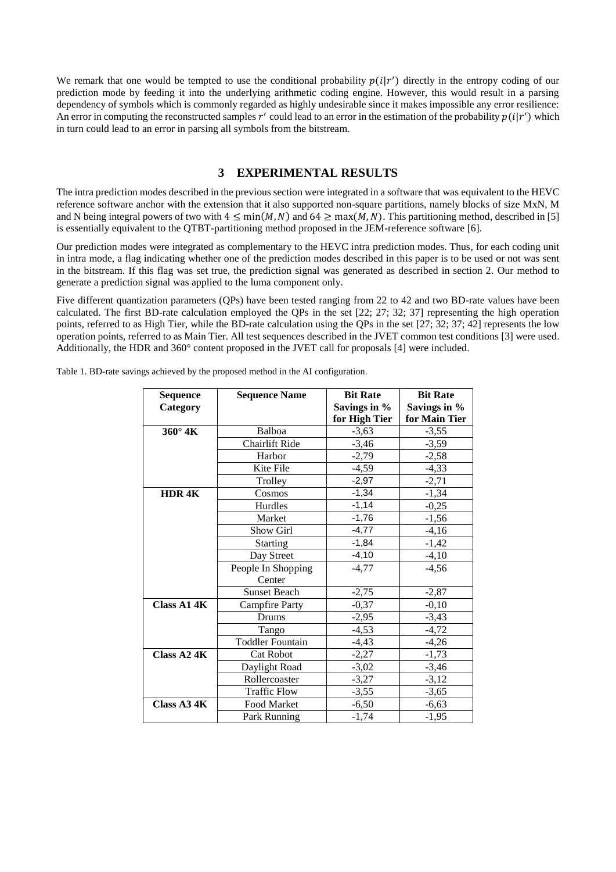We remark that one would be tempted to use the conditional probability  $p(i|r')$  directly in the entropy coding of our prediction mode by feeding it into the underlying arithmetic coding engine. However, this would result in a parsing dependency of symbols which is commonly regarded as highly undesirable since it makes impossible any error resilience: An error in computing the reconstructed samples r' could lead to an error in the estimation of the probability  $p(i|r')$  which in turn could lead to an error in parsing all symbols from the bitstream.

## **3 EXPERIMENTAL RESULTS**

The intra prediction modes described in the previous section were integrated in a software that was equivalent to the HEVC reference software anchor with the extension that it also supported non-square partitions, namely blocks of size MxN, M and N being integral powers of two with  $4 \le \min(M, N)$  and  $64 \ge \max(M, N)$ . This partitioning method, described in [5] is essentially equivalent to the QTBT-partitioning method proposed in the JEM-reference software [6].

Our prediction modes were integrated as complementary to the HEVC intra prediction modes. Thus, for each coding unit in intra mode, a flag indicating whether one of the prediction modes described in this paper is to be used or not was sent in the bitstream. If this flag was set true, the prediction signal was generated as described in section 2. Our method to generate a prediction signal was applied to the luma component only.

Five different quantization parameters (QPs) have been tested ranging from 22 to 42 and two BD-rate values have been calculated. The first BD-rate calculation employed the QPs in the set [22; 27; 32; 37] representing the high operation points, referred to as High Tier, while the BD-rate calculation using the QPs in the set [27; 32; 37; 42] represents the low operation points, referred to as Main Tier. All test sequences described in the JVET common test conditions [3] were used. Additionally, the HDR and 360° content proposed in the JVET call for proposals [4] were included.

| <b>Sequence</b>    | <b>Sequence Name</b>    | <b>Bit Rate</b> | <b>Bit Rate</b> |
|--------------------|-------------------------|-----------------|-----------------|
| Category           |                         | Savings in %    | Savings in %    |
|                    |                         | for High Tier   | for Main Tier   |
| 360° 4K            | Balboa                  | $-3,63$         | $-3,55$         |
|                    | Chairlift Ride          | $-3,46$         | $-3,59$         |
|                    | Harbor                  | $-2,79$         | $-2,58$         |
|                    | Kite File               | $-4,59$         | $-4,33$         |
|                    | Trolley                 | $-2,97$         | $-2,71$         |
| HDR <sub>4</sub> K | Cosmos                  | $-1,34$         | $-1,34$         |
|                    | Hurdles                 | $-1,14$         | $-0,25$         |
|                    | Market                  | $-1,76$         | $-1,56$         |
|                    | Show Girl               | $-4.77$         | $-4,16$         |
|                    | <b>Starting</b>         | $-1,84$         | $-1,42$         |
|                    | Day Street              | $-4,10$         | $-4,10$         |
|                    | People In Shopping      | $-4,77$         | $-4,56$         |
|                    | Center                  |                 |                 |
|                    | <b>Sunset Beach</b>     | $-2,75$         | $-2,87$         |
| Class A14K         | <b>Campfire Party</b>   | $-0,37$         | $-0,10$         |
|                    | <b>Drums</b>            | $-2,95$         | $-3,43$         |
|                    | Tango                   | $-4,53$         | $-4,72$         |
|                    | <b>Toddler Fountain</b> | $-4,43$         | $-4,26$         |
| Class A24K         | <b>Cat Robot</b>        | $-2,27$         | $-1,73$         |
|                    | Daylight Road           | $-3,02$         | $-3,46$         |
|                    | Rollercoaster           | $-3,27$         | $-3,12$         |
|                    | <b>Traffic Flow</b>     | $-3,55$         | $-3,65$         |
| Class A34K         | Food Market             | $-6,50$         | $-6,63$         |
|                    | Park Running            | $-1,74$         | $-1,95$         |

Table 1. BD-rate savings achieved by the proposed method in the AI configuration.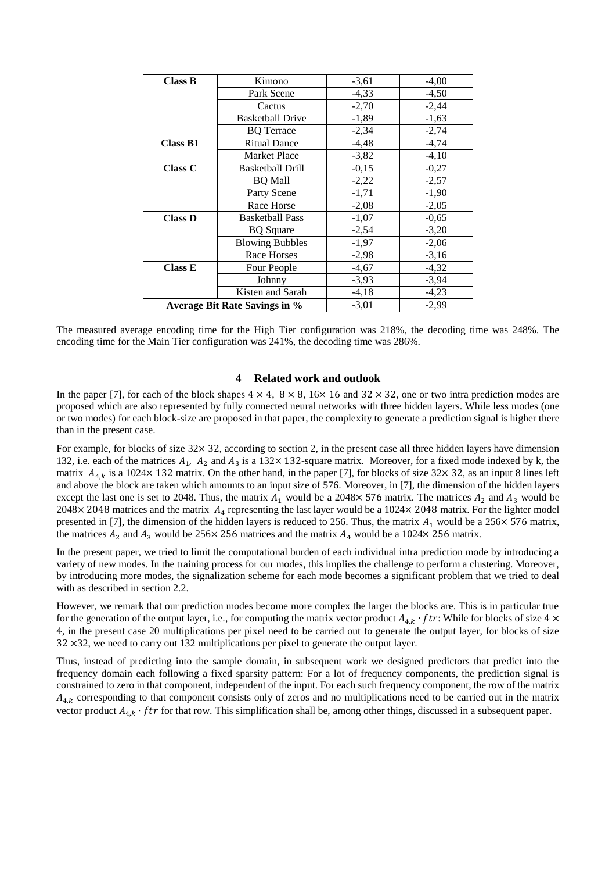| <b>Class B</b>                | Kimono                  | $-3,61$ | $-4,00$ |
|-------------------------------|-------------------------|---------|---------|
|                               | Park Scene              | $-4,33$ | $-4,50$ |
|                               | Cactus                  | $-2,70$ | $-2,44$ |
|                               | <b>Basketball Drive</b> | $-1,89$ | $-1,63$ |
|                               | <b>BO</b> Terrace       | $-2,34$ | $-2,74$ |
| <b>Class B1</b>               | <b>Ritual Dance</b>     | $-4,48$ | $-4,74$ |
|                               | <b>Market Place</b>     | $-3,82$ | $-4,10$ |
| <b>Class C</b>                | <b>Basketball Drill</b> | $-0,15$ | $-0,27$ |
|                               | <b>BQ</b> Mall          | $-2,22$ | $-2,57$ |
|                               | Party Scene             | $-1,71$ | $-1,90$ |
|                               | Race Horse              | $-2,08$ | $-2,05$ |
| <b>Class D</b>                | <b>Basketball Pass</b>  | $-1,07$ | $-0,65$ |
|                               | <b>BO</b> Square        | $-2,54$ | $-3,20$ |
|                               | <b>Blowing Bubbles</b>  | $-1,97$ | $-2,06$ |
|                               | Race Horses             | $-2,98$ | $-3,16$ |
| Class E                       | Four People             | $-4,67$ | $-4,32$ |
|                               | Johnny                  | $-3,93$ | $-3,94$ |
|                               | Kisten and Sarah        | $-4,18$ | $-4,23$ |
| Average Bit Rate Savings in % |                         | $-3,01$ | $-2,99$ |

The measured average encoding time for the High Tier configuration was 218%, the decoding time was 248%. The encoding time for the Main Tier configuration was 241%, the decoding time was 286%.

#### **4 Related work and outlook**

In the paper [7], for each of the block shapes  $4 \times 4$ ,  $8 \times 8$ ,  $16 \times 16$  and  $32 \times 32$ , one or two intra prediction modes are proposed which are also represented by fully connected neural networks with three hidden layers. While less modes (one or two modes) for each block-size are proposed in that paper, the complexity to generate a prediction signal is higher there than in the present case.

For example, for blocks of size  $32 \times 32$ , according to section 2, in the present case all three hidden layers have dimension 132, i.e. each of the matrices  $A_1$ ,  $A_2$  and  $A_3$  is a 132×132-square matrix. Moreover, for a fixed mode indexed by k, the matrix  $A_{4k}$  is a 1024× 132 matrix. On the other hand, in the paper [7], for blocks of size 32× 32, as an input 8 lines left and above the block are taken which amounts to an input size of 576. Moreover, in [7], the dimension of the hidden layers except the last one is set to 2048. Thus, the matrix  $A_1$  would be a 2048× 576 matrix. The matrices  $A_2$  and  $A_3$  would be 2048 $\times$  2048 matrices and the matrix  $A_4$  representing the last layer would be a 1024 $\times$  2048 matrix. For the lighter model presented in [7], the dimension of the hidden layers is reduced to 256. Thus, the matrix  $A_1$  would be a 256 $\times$  576 matrix, the matrices  $A_2$  and  $A_3$  would be 256× 256 matrices and the matrix  $A_4$  would be a 1024× 256 matrix.

In the present paper, we tried to limit the computational burden of each individual intra prediction mode by introducing a variety of new modes. In the training process for our modes, this implies the challenge to perform a clustering. Moreover, by introducing more modes, the signalization scheme for each mode becomes a significant problem that we tried to deal with as described in section 2.2.

However, we remark that our prediction modes become more complex the larger the blocks are. This is in particular true for the generation of the output layer, i.e., for computing the matrix vector product  $A_{4k} \cdot ftr$ . While for blocks of size 4 × 4, in the present case 20 multiplications per pixel need to be carried out to generate the output layer, for blocks of size 32 ×32, we need to carry out 132 multiplications per pixel to generate the output layer.

Thus, instead of predicting into the sample domain, in subsequent work we designed predictors that predict into the frequency domain each following a fixed sparsity pattern: For a lot of frequency components, the prediction signal is constrained to zero in that component, independent of the input. For each such frequency component, the row of the matrix  $A_{4,k}$  corresponding to that component consists only of zeros and no multiplications need to be carried out in the matrix vector product  $A_{4,k} \cdot f t$ r for that row. This simplification shall be, among other things, discussed in a subsequent paper.